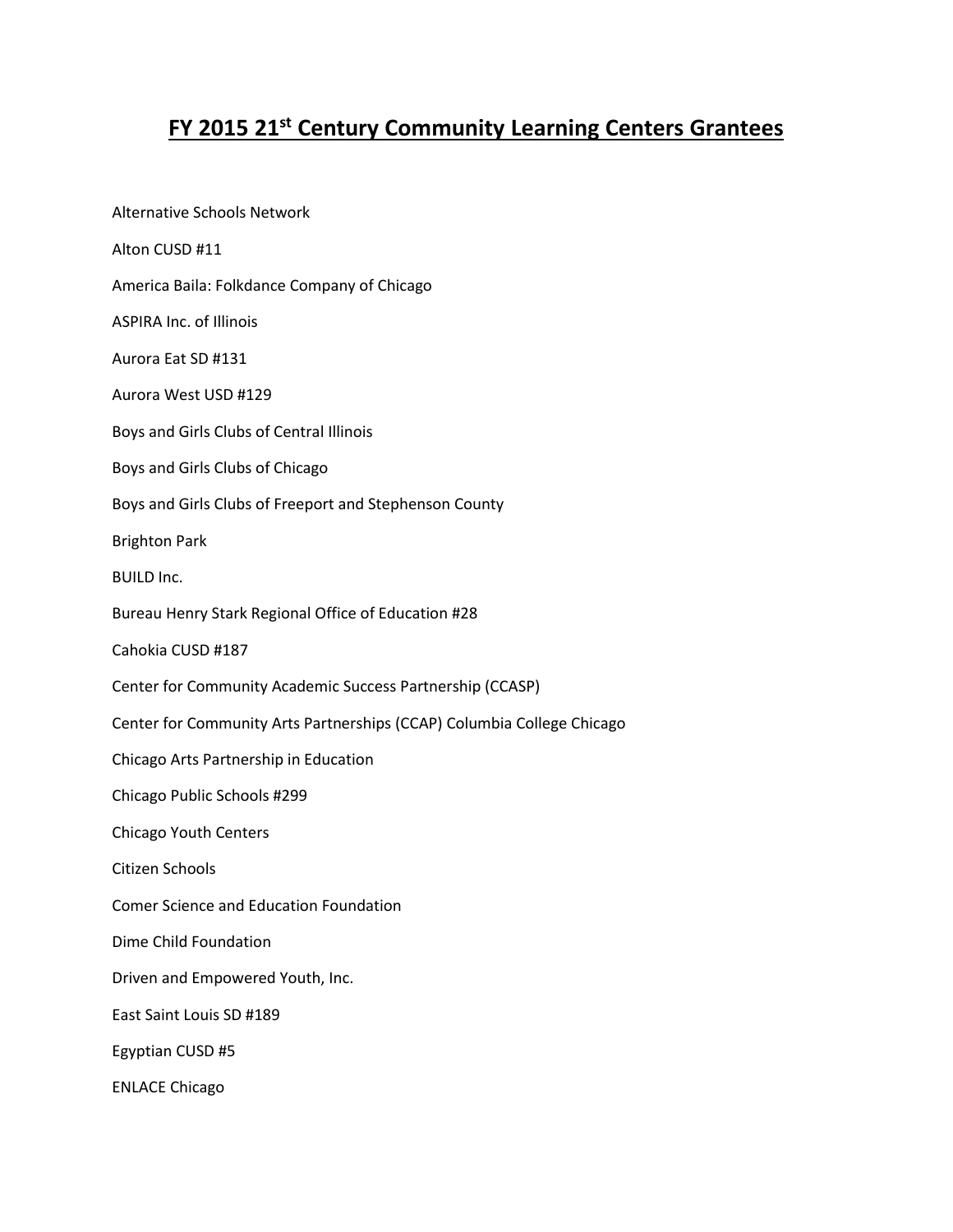## **FY 2015 21st Century Community Learning Centers Grantees**

Alternative Schools Network Alton CUSD #11 America Baila: Folkdance Company of Chicago ASPIRA Inc. of Illinois Aurora Eat SD #131 Aurora West USD #129 Boys and Girls Clubs of Central Illinois Boys and Girls Clubs of Chicago Boys and Girls Clubs of Freeport and Stephenson County Brighton Park BUILD Inc. Bureau Henry Stark Regional Office of Education #28 Cahokia CUSD #187 Center for Community Academic Success Partnership (CCASP) Center for Community Arts Partnerships (CCAP) Columbia College Chicago Chicago Arts Partnership in Education Chicago Public Schools #299 Chicago Youth Centers Citizen Schools Comer Science and Education Foundation Dime Child Foundation Driven and Empowered Youth, Inc. East Saint Louis SD #189 Egyptian CUSD #5 ENLACE Chicago